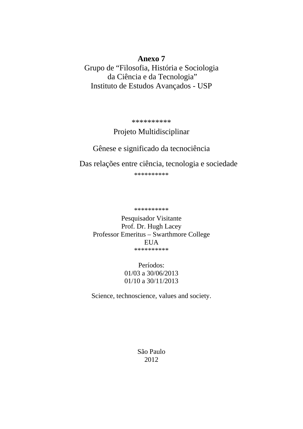## **Anexo 7**

Grupo de "Filosofia, História e Sociologia da Ciência e da Tecnologia" Instituto de Estudos Avançados - USP

\*\*\*\*\*\*\*\*\*\*

# Projeto Multidisciplinar

# Gênese e significado da tecnociência

Das relações entre ciência, tecnologia e sociedade

\*\*\*\*\*\*\*\*\*\*

\*\*\*\*\*\*\*\*\*\*

Pesquisador Visitante Prof. Dr. Hugh Lacey Professor Emeritus – Swarthmore College EUA \*\*\*\*\*\*\*\*\*\*

> Períodos: 01/03 a 30/06/2013 01/10 a 30/11/2013

Science, technoscience, values and society.

São Paulo 2012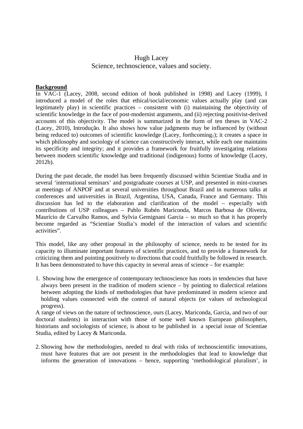### Hugh Lacey Science, technoscience, values and society.

#### **Background**

In VAC-1 (Lacey, 2008, second edition of book published in 1998) and Lacey (1999), I introduced a model of the roles that ethical/social/economic values actually play (and can legitimately play) in scientific practices – consistent with (i) maintaining the objectivity of scientific knowledge in the face of post-modernist arguments, and (ii) rejecting positivist-derived accounts of this objectivity. The model is summarized in the form of ten theses in VAC-2 (Lacey, 2010), Introdução. It also shows how value judgments may be influenced by (without being reduced to) outcomes of scientific knowledge (Lacey, forthcoming<sub>1</sub>); it creates a space in which philosophy and sociology of science can constructively interact, while each one maintains its specificity and integrity; and it provides a framework for fruitfully investigating relations between modern scientific knowledge and traditional (indigenous) forms of knowledge (Lacey, 2012b).

During the past decade, the model has been frequently discussed within Scientiae Studia and in several 'international seminars' and postgraduate courses at USP, and presented in mini-courses at meetings of ANPOF and at several universities throughout Brazil and in numerous talks at conferences and universities in Brazil, Argentina, USA, Canada, France and Germany. This discussion has led to the elaboration and clarification of the model – especially with contributions of USP colleagues – Pablo Rubén Mariconda, Marcos Barbosa de Oliveira, Maurício de Carvalho Ramos, and Sylvia Gemignani Garcia – so much so that it has properly become regarded as "Scientiae Studia's model of the interaction of values and scientific activities".

This model, like any other proposal in the philosophy of science, needs to be tested for its capacity to illuminate important features of scientific practices, and to provide a framework for criticizing them and pointing positively to directions that could fruitfully be followed in research. It has been demonstrated to have this capacity in several areas of science – for example:

1. Showing how the emergence of contemporary technoscience has roots in tendencies that have always been present in the tradition of modern science – by pointing to dialectical relations between adopting the kinds of methodologies that have predominated in modern science and holding values connected with the control of natural objects (or values of technological progress).

A range of views on the nature of technoscience, ours (Lacey, Mariconda, Garcia, and two of our doctoral students) in interaction with those of some well known European philosophers, historians and sociologists of science, is about to be published in a special issue of Scientiae Studia, edited by Lacey & Mariconda.

2. Showing how the methodologies, needed to deal with risks of technoscientific innovations, must have features that are not present in the methodologies that lead to knowledge that informs the generation of innovations – hence, supporting 'methodological pluralism', in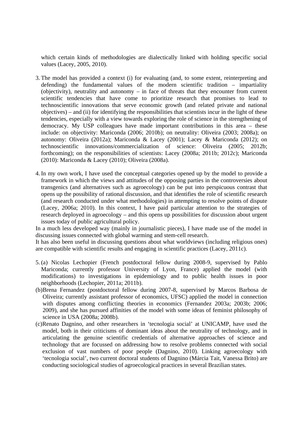which certain kinds of methodologies are dialectically linked with holding specific social values (Lacey, 2005, 2010).

- 3. The model has provided a context (i) for evaluating (and, to some extent, reinterpreting and defending) the fundamental values of the modern scientific tradition – impartiality (objectivity), neutrality and autonomy – in face of threats that they encounter from current scientific tendencies that have come to prioritize research that promises to lead to technoscientific innovations that serve economic growth (and related private and national objectives) – and (ii) for identifying the responsibilities that scientists incur in the light of these tendencies, especially with a view towards exploring the role of science in the strengthening of democracy. My USP colleagues have made important contributions in this area – these include: on objectivity: Mariconda (2006; 2010b); on neutrality: Oliveira (2003; 2008a); on autonomy: Oliveira (2012a); Mariconda & Lacey (2001); Lacey & Mariconda (2012); on technoscientific innovations/commercialization of science: Oliveira (2005; 2012b; forthcoming); on the responsibilities of scientists: Lacey (2008a; 2011b; 2012c); Mariconda (2010): Mariconda & Lacey (2010); Oliveira (2008a).
- 4.In my own work, I have used the conceptual categories opened up by the model to provide a framework in which the views and attitudes of the opposing parties in the controversies about transgenics (and alternatives such as agroecology) can be put into perspicuous contrast that opens up the possibility of rational discussion, and that identifies the role of scientific research (and research conducted under what methodologies) in attempting to resolve points of dispute (Lacey, 2006a; 2010). In this context, I have paid particular attention to the strategies of research deployed in agroecology – and this opens up possibilities for discussion about urgent issues today of public agricultural policy.

In a much less developed way (mainly in journalistic pieces), I have made use of the model in discussing issues connected with global warming and stem-cell research.

It has also been useful in discussing questions about what worldviews (including religious ones) are compatible with scientific results and engaging in scientific practices (Lacey, 2011c).

- 5.(a) Nicolas Lechopier (French postdoctoral fellow during 2008-9, supervised by Pablo Mariconda; currently professor University of Lyon, France) applied the model (with modifications) to investigations in epidemiology and to public health issues in poor neighborhoods (Lechopier, 2011a; 2011b).
- (b)Brena Fernandez (postdoctoral fellow during 2007-8, supervised by Marcos Barbosa de Oliveira; currently assistant professor of economics, UFSC) applied the model in connection with disputes among conflicting theories in economics (Fernandez 2003a; 2003b; 2006; 2009), and she has pursued affinities of the model with some ideas of feminist philosophy of science in USA (2008a; 2008b).
- (c)Renato Dagnino, and other researchers in 'tecnologia social' at UNICAMP, have used the model, both in their criticisms of dominant ideas about the neutrality of technology, and in articulating the genuine scientific credentials of alternative approaches of science and technology that are focussed on addressing how to resolve problems connected with social exclusion of vast numbers of poor people (Dagnino, 2010). Linking agroecology with 'tecnologia social', two current doctoral students of Dagnino (Márcia Tait, Vanessa Brito) are conducting sociological studies of agroecological practices in several Brazilian states.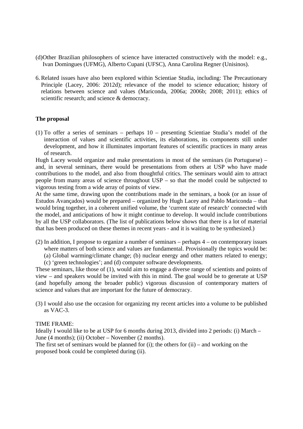- (d)Other Brazilian philosophers of science have interacted constructively with the model: e.g., Ivan Domingues (UFMG), Alberto Cupani (UFSC), Anna Carolina Regner (Unisinos).
- 6.Related issues have also been explored within Scientiae Studia, including: The Precautionary Principle (Lacey, 2006: 2012d); relevance of the model to science education; history of relations between science and values (Mariconda, 2006a; 2006b; 2008; 2011); ethics of scientific research; and science & democracy.

#### **The proposal**

(1) To offer a series of seminars – perhaps 10 – presenting Scientiae Studia's model of the interaction of values and scientific activities, its elaborations, its components still under development, and how it illuminates important features of scientific practices in many areas of research.

Hugh Lacey would organize and make presentations in most of the seminars (in Portuguese) – and, in several seminars, there would be presentations from others at USP who have made contributions to the model, and also from thoughtful critics. The seminars would aim to attract people from many areas of science throughout USP – so that the model could be subjected to vigorous testing from a wide array of points of view.

At the same time, drawing upon the contributions made in the seminars, a book (or an issue of Estudos Avançados) would be prepared – organized by Hugh Lacey and Pablo Mariconda – that would bring together, in a coherent unified volume, the 'current state of research' connected with the model, and anticipations of how it might continue to develop. It would include contributions by all the USP collaborators. (The list of publications below shows that there is a lot of material that has been produced on these themes in recent years - and it is waiting to be synthesized.)

- (2) In addition, I propose to organize a number of seminars perhaps 4 on contemporary issues
	- where matters of both science and values are fundamental. Provisionally the topics would be:
	- (a) Global warming/climate change; (b) nuclear energy and other matters related to energy;
	- (c) 'green technologies'; and (d) computer software developments.

These seminars, like those of (1), would aim to engage a diverse range of scientists and points of view – and speakers would be invited with this in mind. The goal would be to generate at USP (and hopefully among the broader public) vigorous discussion of contemporary matters of science and values that are important for the future of democracy.

(3) I would also use the occasion for organizing my recent articles into a volume to be published as VAC-3.

#### TIME FRAME:

Ideally I would like to be at USP for 6 months during 2013, divided into 2 periods: (i) March – June (4 months); (ii) October – November (2 months).

The first set of seminars would be planned for (i); the others for  $(ii)$  – and working on the proposed book could be completed during (ii).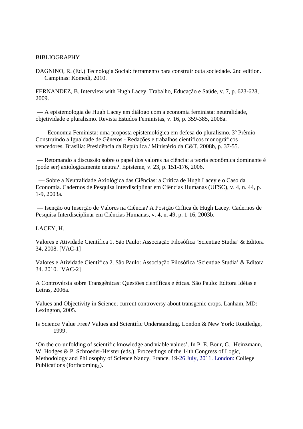#### BIBLIOGRAPHY

DAGNINO, R. (Ed.) Tecnologia Social: ferramento para construir outa sociedade. 2nd edition. Campinas: Komedi, 2010.

FERNANDEZ, B. Interview with Hugh Lacey. Trabalho, Educação e Saúde, v. 7, p. 623-628, 2009.

 –– A epistemologia de Hugh Lacey em diálogo com a economia feminista: neutralidade, objetividade e pluralismo. Revista Estudos Feministas, v. 16, p. 359-385, 2008a.

 –– Economia Feminista: uma proposta epistemológica em defesa do pluralismo. 3º Prêmio Construindo a Igualdade de Gêneros - Redações e trabalhos científicos monográficos vencedores. Brasília: Presidência da República / Ministério da C&T, 2008b, p. 37-55.

 –– Retomando a discussão sobre o papel dos valores na ciência: a teoria econômica dominante é (pode ser) axiologicamente neutra?. Episteme, v. 23, p. 151-176, 2006.

 –– Sobre a Neutralidade Axiológica das Ciências: a Crítica de Hugh Lacey e o Caso da Economia. Cadernos de Pesquisa Interdisciplinar em Ciências Humanas (UFSC), v. 4, n. 44, p. 1-9, 2003a.

 –– Isenção ou Inserção de Valores na Ciência? A Posição Crítica de Hugh Lacey. Cadernos de Pesquisa Interdisciplinar em Ciências Humanas, v. 4, n. 49, p. 1-16, 2003b.

#### LACEY, H.

Valores e Atividade Científica 1. São Paulo: Associação Filosófica 'Scientiae Studia' & Editora 34, 2008. [VAC-1]

Valores e Atividade Científica 2. São Paulo: Associação Filosófica 'Scientiae Studia' & Editora 34. 2010. [VAC-2]

A Controvérsia sobre Transgênicas: Questões científicas e éticas. São Paulo: Editora Idéias e Letras, 2006a.

Values and Objectivity in Science; current controversy about transgenic crops. Lanham, MD: Lexington, 2005.

Is Science Value Free? Values and Scientific Understanding. London & New York: Routledge, 1999.

'On the co-unfolding of scientific knowledge and viable values'. In P. E. Bour, G. Heinzmann, W. Hodges & P. Schroeder-Heister (eds.), Proceedings of the 14th Congress of Logic, Methodology and Philosophy of Science Nancy, France, 19-26 July, 2011. London: College Publications (forthcoming<sub>1</sub>).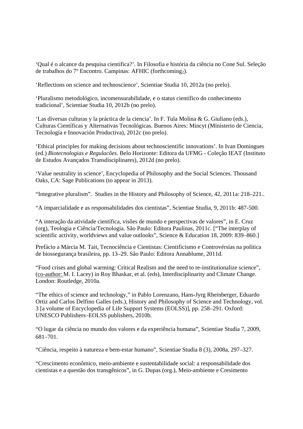'Qual é o alcance da pesquisa científica?'. In Filosofia e história da ciência no Cone Sul. Seleção de trabalhos do 7º Encontro. Campinas: AFHIC (forthcoming<sub>2</sub>).

'Reflections on science and technoscience', Scientiae Studia 10, 2012a (no prelo).

'Pluralismo metodológico, incomensurabilidade, e o status científico do conhecimento tradicional', Scientiae Studia 10, 2012b (no prelo).

'Las diversas culturas y la práctica de la ciencia'. In F. Tula Molina & G. Giuliano (eds.), Culturas Científicas y Alternativas Tecnológicas. Buenos Aires: Mincyt (Ministerio de Ciencia, Tecnología e Innovación Productiva), 2012c (no prelo).

'Ethical principles for making decisions about technoscientific innovations'. In Ivan Domingues (ed.) *Biotecnologias e Regulacões*. Belo Horizonte: Editora da UFMG - Coleção IEAT (Instituto de Estudos Avançados Transdisciplinares), 2012d (no prelo).

'Value neutrality in science', Encyclopedia of Philosophy and the Social Sciences. Thousand Oaks, CA: Sage Publications (to appear in 2013).

"Integrative pluralism". Studies in the History and Philosophy of Science, 42, 2011a: 218–221..

"A imparcialidade e as responsabilidades dos cientistas", Scientiae Studia, 9, 2011b: 487-500.

"A interação da atividade científica, visões de mundo e perspectivas de valores", in E. Cruz (org), Teologia e Ciência/Tecnologia. São Paulo: Editora Paulinas, 2011c. ["The interplay of scientific activity, worldviews and value outlooks", Science & Education 18, 2009: 839–860.]

Prefácio a Márcia M. Tait, Tecnociência e Cientistas: Cientificismo e Controvérsias na política de biossegurança brasileira, pp. 13–29. São Paulo: Editora Annablume, 2011d.

"Food crises and global warming: Critical Realism and the need to re-institutionalize science", (co-author: M. I. Lacey) in Roy Bhaskar, et al. (eds), Interdisciplinarity and Climate Change. London: Routledge, 2010a.

"The ethics of science and technology," in Pablo Lorenzano, Hans-Jyrg Rheinberger, Eduardo Ortiz and Carlos Delfino Galles (eds.), History and Philosophy of Science and Technology, vol. 3 [a volume of Encyclopedia of Life Support Systems (EOLSS)], pp. 258–291. Oxford: UNESCO Publishers–EOLSS publishers, 2010b.

"O lugar da ciência no mundo dos valores e da experiência humana", Scientiae Studia 7, 2009, 681–701.

"Ciência, respeito à natureza e bem-estar humano", Scientiae Studia 8 (3), 2008a, 297–327.

"Crescimento econômico, meio-ambiente e sustentabilidade social: a responsabilidade dos cientistas e a questão dos transgênicos", in G. Dupas (org.), Meio-ambiente e Cresimento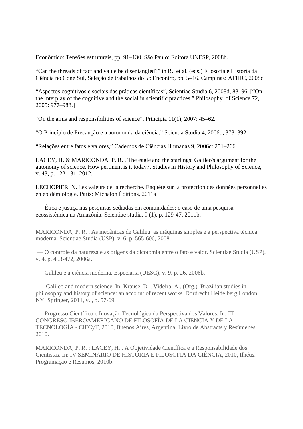Econômico: Tensões estruturais, pp. 91–130. São Paulo: Editora UNESP, 2008b.

"Can the threads of fact and value be disentangled?" in R., et al. (eds.) Filosofia e História da Ciência no Cone Sul, Seleção de trabalhos do 5o Encontro, pp. 5–16. Campinas: AFHIC, 2008c.

"Aspectos cognitivos e sociais das práticas científicas", Scientiae Studia 6, 2008d, 83–96. ["On the interplay of the cognitive and the social in scientific practices," Philosophy of Science 72, 2005: 977–988.]

"On the aims and responsibilities of science", Principia 11(1), 2007: 45–62.

"O Princípio de Precaução e a autonomia da ciência," Scientia Studia 4, 2006b, 373–392.

"Relações entre fatos e valores," Cadernos de Ciências Humanas 9, 2006c: 251–266.

LACEY, H. & MARICONDA, P. R. . The eagle and the starlings: Galileo's argument for the autonomy of science. How pertinent is it today?. Studies in History and Philosophy of Science, v. 43, p. 122-131, 2012.

LECHOPIER, N. Les valeurs de la recherche. Enquête sur la protection des données personnelles en épidémiologie. Paris: Michalon Éditions, 2011a

 –– Ética e justiça nas pesquisas sediadas em comunidades: o caso de uma pesquisa ecossistêmica na Amazônia. Scientiae studia, 9 (1), p. 129-47, 2011b.

MARICONDA, P. R. . As mecânicas de Galileu: as máquinas simples e a perspectiva técnica moderna. Scientiae Studia (USP), v. 6, p. 565-606, 2008.

 –– O controle da natureza e as origens da dicotomia entre o fato e valor. Scientiae Studia (USP), v. 4, p. 453-472, 2006a.

–– Galileu e a ciência moderna. Especiaria (UESC), v. 9, p. 26, 2006b.

 –– Galileo and modern science. In: Krause, D. ; Videira, A.. (Org.). Brazilian studies in philosophy and history of science: an account of recent works. Dordrecht Heidelberg London NY: Springer, 2011, v. , p. 57-69.

 –– Progresso Científico e Inovação Tecnológica da Perspectiva dos Valores. In: III CONGRESO IBEROAMERICANO DE FILOSOFÍA DE LA CIENCIA Y DE LA TECNOLOGÍA - CIFCyT, 2010, Buenos Aires, Argentina. Livro de Abstracts y Resúmenes, 2010.

MARICONDA, P. R. ; LACEY, H. . A Objetividade Científica e a Responsabilidade dos Cientistas. In: IV SEMINÁRIO DE HISTÓRIA E FILOSOFIA DA CIÊNCIA, 2010, Ilhéus. Programação e Resumos, 2010b.